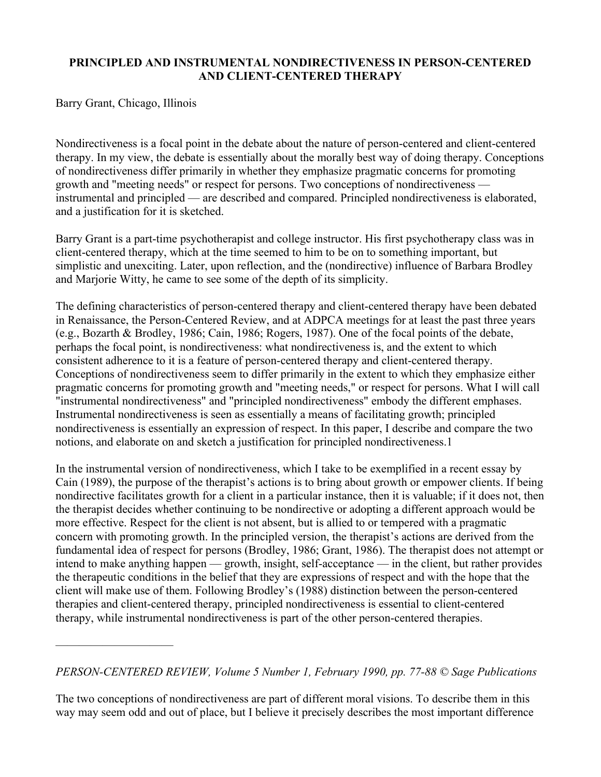# PRINCIPLED AND INSTRUMENTAL NONDIRECTIVENESS IN PERSON-CENTERED AND CLIENT-CENTERED THERAPY

Barry Grant, Chicago, Illinois

——————————

Nondirectiveness is a focal point in the debate about the nature of person-centered and client-centered therapy. In my view, the debate is essentially about the morally best way of doing therapy. Conceptions of nondirectiveness differ primarily in whether they emphasize pragmatic concerns for promoting growth and "meeting needs" or respect for persons. Two conceptions of nondirectiveness instrumental and principled — are described and compared. Principled nondirectiveness is elaborated, and a justification for it is sketched.

Barry Grant is a part-time psychotherapist and college instructor. His first psychotherapy class was in client-centered therapy, which at the time seemed to him to be on to something important, but simplistic and unexciting. Later, upon reflection, and the (nondirective) influence of Barbara Brodley and Marjorie Witty, he came to see some of the depth of its simplicity.

The defining characteristics of person-centered therapy and client-centered therapy have been debated in Renaissance, the Person-Centered Review, and at ADPCA meetings for at least the past three years (e.g., Bozarth & Brodley, 1986; Cain, 1986; Rogers, 1987). One of the focal points of the debate, perhaps the focal point, is nondirectiveness: what nondirectiveness is, and the extent to which consistent adherence to it is a feature of person-centered therapy and client-centered therapy. Conceptions of nondirectiveness seem to differ primarily in the extent to which they emphasize either pragmatic concerns for promoting growth and "meeting needs," or respect for persons. What I will call "instrumental nondirectiveness" and "principled nondirectiveness" embody the different emphases. Instrumental nondirectiveness is seen as essentially a means of facilitating growth; principled nondirectiveness is essentially an expression of respect. In this paper, I describe and compare the two notions, and elaborate on and sketch a justification for principled nondirectiveness.1

In the instrumental version of nondirectiveness, which I take to be exemplified in a recent essay by Cain (1989), the purpose of the therapist's actions is to bring about growth or empower clients. If being nondirective facilitates growth for a client in a particular instance, then it is valuable; if it does not, then the therapist decides whether continuing to be nondirective or adopting a different approach would be more effective. Respect for the client is not absent, but is allied to or tempered with a pragmatic concern with promoting growth. In the principled version, the therapist's actions are derived from the fundamental idea of respect for persons (Brodley, 1986; Grant, 1986). The therapist does not attempt or intend to make anything happen — growth, insight, self-acceptance — in the client, but rather provides the therapeutic conditions in the belief that they are expressions of respect and with the hope that the client will make use of them. Following Brodley's (1988) distinction between the person-centered therapies and client-centered therapy, principled nondirectiveness is essential to client-centered therapy, while instrumental nondirectiveness is part of the other person-centered therapies.

## *PERSON-CENTERED REVIEW, Volume 5 Number 1, February 1990, pp. 77-88 © Sage Publications*

The two conceptions of nondirectiveness are part of different moral visions. To describe them in this way may seem odd and out of place, but I believe it precisely describes the most important difference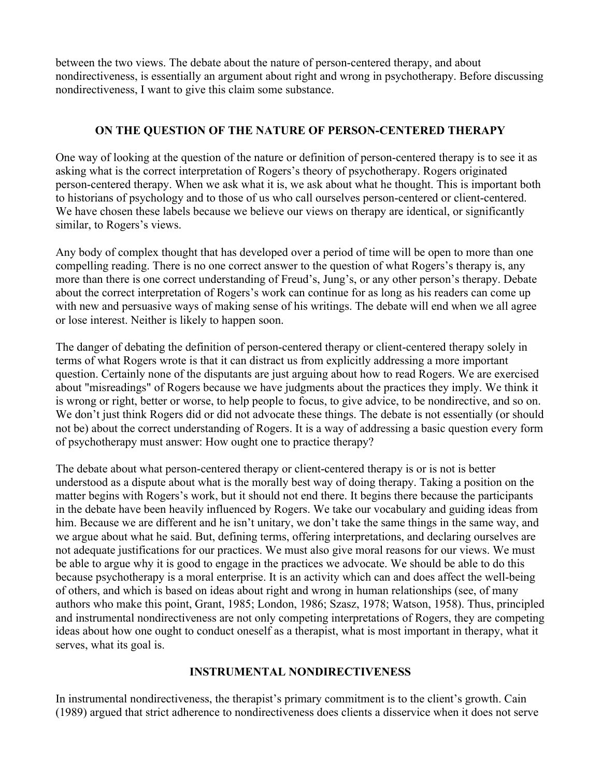between the two views. The debate about the nature of person-centered therapy, and about nondirectiveness, is essentially an argument about right and wrong in psychotherapy. Before discussing nondirectiveness, I want to give this claim some substance.

# ON THE QUESTION OF THE NATURE OF PERSON-CENTERED THERAPY

One way of looking at the question of the nature or definition of person-centered therapy is to see it as asking what is the correct interpretation of Rogers's theory of psychotherapy. Rogers originated person-centered therapy. When we ask what it is, we ask about what he thought. This is important both to historians of psychology and to those of us who call ourselves person-centered or client-centered. We have chosen these labels because we believe our views on therapy are identical, or significantly similar, to Rogers's views.

Any body of complex thought that has developed over a period of time will be open to more than one compelling reading. There is no one correct answer to the question of what Rogers's therapy is, any more than there is one correct understanding of Freud's, Jung's, or any other person's therapy. Debate about the correct interpretation of Rogers's work can continue for as long as his readers can come up with new and persuasive ways of making sense of his writings. The debate will end when we all agree or lose interest. Neither is likely to happen soon.

The danger of debating the definition of person-centered therapy or client-centered therapy solely in terms of what Rogers wrote is that it can distract us from explicitly addressing a more important question. Certainly none of the disputants are just arguing about how to read Rogers. We are exercised about "misreadings" of Rogers because we have judgments about the practices they imply. We think it is wrong or right, better or worse, to help people to focus, to give advice, to be nondirective, and so on. We don't just think Rogers did or did not advocate these things. The debate is not essentially (or should not be) about the correct understanding of Rogers. It is a way of addressing a basic question every form of psychotherapy must answer: How ought one to practice therapy?

The debate about what person-centered therapy or client-centered therapy is or is not is better understood as a dispute about what is the morally best way of doing therapy. Taking a position on the matter begins with Rogers's work, but it should not end there. It begins there because the participants in the debate have been heavily influenced by Rogers. We take our vocabulary and guiding ideas from him. Because we are different and he isn't unitary, we don't take the same things in the same way, and we argue about what he said. But, defining terms, offering interpretations, and declaring ourselves are not adequate justifications for our practices. We must also give moral reasons for our views. We must be able to argue why it is good to engage in the practices we advocate. We should be able to do this because psychotherapy is a moral enterprise. It is an activity which can and does affect the well-being of others, and which is based on ideas about right and wrong in human relationships (see, of many authors who make this point, Grant, 1985; London, 1986; Szasz, 1978; Watson, 1958). Thus, principled and instrumental nondirectiveness are not only competing interpretations of Rogers, they are competing ideas about how one ought to conduct oneself as a therapist, what is most important in therapy, what it serves, what its goal is.

## INSTRUMENTAL NONDIRECTIVENESS

In instrumental nondirectiveness, the therapist's primary commitment is to the client's growth. Cain (1989) argued that strict adherence to nondirectiveness does clients a disservice when it does not serve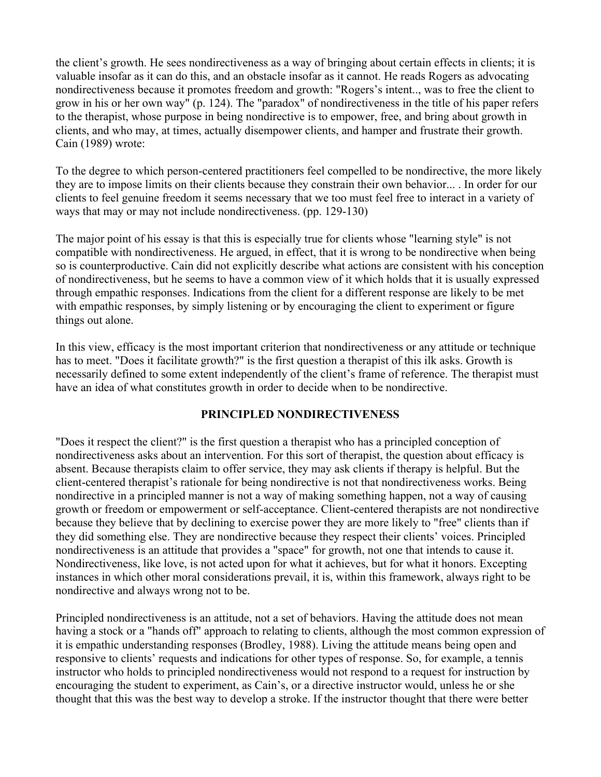the client's growth. He sees nondirectiveness as a way of bringing about certain effects in clients; it is valuable insofar as it can do this, and an obstacle insofar as it cannot. He reads Rogers as advocating nondirectiveness because it promotes freedom and growth: "Rogers's intent.., was to free the client to grow in his or her own way" (p. 124). The "paradox" of nondirectiveness in the title of his paper refers to the therapist, whose purpose in being nondirective is to empower, free, and bring about growth in clients, and who may, at times, actually disempower clients, and hamper and frustrate their growth. Cain (1989) wrote:

To the degree to which person-centered practitioners feel compelled to be nondirective, the more likely they are to impose limits on their clients because they constrain their own behavior... . In order for our clients to feel genuine freedom it seems necessary that we too must feel free to interact in a variety of ways that may or may not include nondirectiveness. (pp. 129-130)

The major point of his essay is that this is especially true for clients whose "learning style" is not compatible with nondirectiveness. He argued, in effect, that it is wrong to be nondirective when being so is counterproductive. Cain did not explicitly describe what actions are consistent with his conception of nondirectiveness, but he seems to have a common view of it which holds that it is usually expressed through empathic responses. Indications from the client for a different response are likely to be met with empathic responses, by simply listening or by encouraging the client to experiment or figure things out alone.

In this view, efficacy is the most important criterion that nondirectiveness or any attitude or technique has to meet. "Does it facilitate growth?" is the first question a therapist of this ilk asks. Growth is necessarily defined to some extent independently of the client's frame of reference. The therapist must have an idea of what constitutes growth in order to decide when to be nondirective.

### PRINCIPLED NONDIRECTIVENESS

"Does it respect the client?" is the first question a therapist who has a principled conception of nondirectiveness asks about an intervention. For this sort of therapist, the question about efficacy is absent. Because therapists claim to offer service, they may ask clients if therapy is helpful. But the client-centered therapist's rationale for being nondirective is not that nondirectiveness works. Being nondirective in a principled manner is not a way of making something happen, not a way of causing growth or freedom or empowerment or self-acceptance. Client-centered therapists are not nondirective because they believe that by declining to exercise power they are more likely to "free" clients than if they did something else. They are nondirective because they respect their clients' voices. Principled nondirectiveness is an attitude that provides a "space" for growth, not one that intends to cause it. Nondirectiveness, like love, is not acted upon for what it achieves, but for what it honors. Excepting instances in which other moral considerations prevail, it is, within this framework, always right to be nondirective and always wrong not to be.

Principled nondirectiveness is an attitude, not a set of behaviors. Having the attitude does not mean having a stock or a "hands off" approach to relating to clients, although the most common expression of it is empathic understanding responses (Brodley, 1988). Living the attitude means being open and responsive to clients' requests and indications for other types of response. So, for example, a tennis instructor who holds to principled nondirectiveness would not respond to a request for instruction by encouraging the student to experiment, as Cain's, or a directive instructor would, unless he or she thought that this was the best way to develop a stroke. If the instructor thought that there were better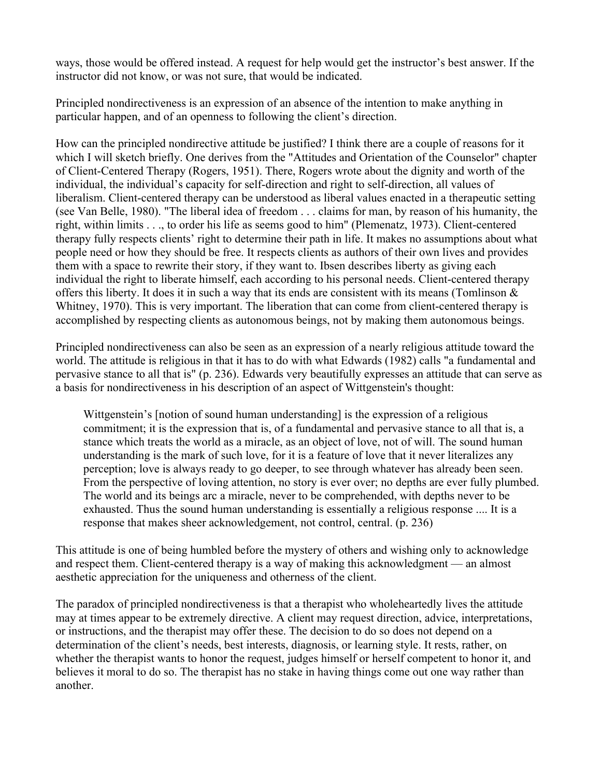ways, those would be offered instead. A request for help would get the instructor's best answer. If the instructor did not know, or was not sure, that would be indicated.

Principled nondirectiveness is an expression of an absence of the intention to make anything in particular happen, and of an openness to following the client's direction.

How can the principled nondirective attitude be justified? I think there are a couple of reasons for it which I will sketch briefly. One derives from the "Attitudes and Orientation of the Counselor" chapter of Client-Centered Therapy (Rogers, 1951). There, Rogers wrote about the dignity and worth of the individual, the individual's capacity for self-direction and right to self-direction, all values of liberalism. Client-centered therapy can be understood as liberal values enacted in a therapeutic setting (see Van Belle, 1980). "The liberal idea of freedom . . . claims for man, by reason of his humanity, the right, within limits . . ., to order his life as seems good to him" (Plemenatz, 1973). Client-centered therapy fully respects clients' right to determine their path in life. It makes no assumptions about what people need or how they should be free. It respects clients as authors of their own lives and provides them with a space to rewrite their story, if they want to. Ibsen describes liberty as giving each individual the right to liberate himself, each according to his personal needs. Client-centered therapy offers this liberty. It does it in such a way that its ends are consistent with its means (Tomlinson & Whitney, 1970). This is very important. The liberation that can come from client-centered therapy is accomplished by respecting clients as autonomous beings, not by making them autonomous beings.

Principled nondirectiveness can also be seen as an expression of a nearly religious attitude toward the world. The attitude is religious in that it has to do with what Edwards (1982) calls "a fundamental and pervasive stance to all that is" (p. 236). Edwards very beautifully expresses an attitude that can serve as a basis for nondirectiveness in his description of an aspect of Wittgenstein's thought:

Wittgenstein's [notion of sound human understanding] is the expression of a religious commitment; it is the expression that is, of a fundamental and pervasive stance to all that is, a stance which treats the world as a miracle, as an object of love, not of will. The sound human understanding is the mark of such love, for it is a feature of love that it never literalizes any perception; love is always ready to go deeper, to see through whatever has already been seen. From the perspective of loving attention, no story is ever over; no depths are ever fully plumbed. The world and its beings arc a miracle, never to be comprehended, with depths never to be exhausted. Thus the sound human understanding is essentially a religious response .... It is a response that makes sheer acknowledgement, not control, central. (p. 236)

This attitude is one of being humbled before the mystery of others and wishing only to acknowledge and respect them. Client-centered therapy is a way of making this acknowledgment — an almost aesthetic appreciation for the uniqueness and otherness of the client.

The paradox of principled nondirectiveness is that a therapist who wholeheartedly lives the attitude may at times appear to be extremely directive. A client may request direction, advice, interpretations, or instructions, and the therapist may offer these. The decision to do so does not depend on a determination of the client's needs, best interests, diagnosis, or learning style. It rests, rather, on whether the therapist wants to honor the request, judges himself or herself competent to honor it, and believes it moral to do so. The therapist has no stake in having things come out one way rather than another.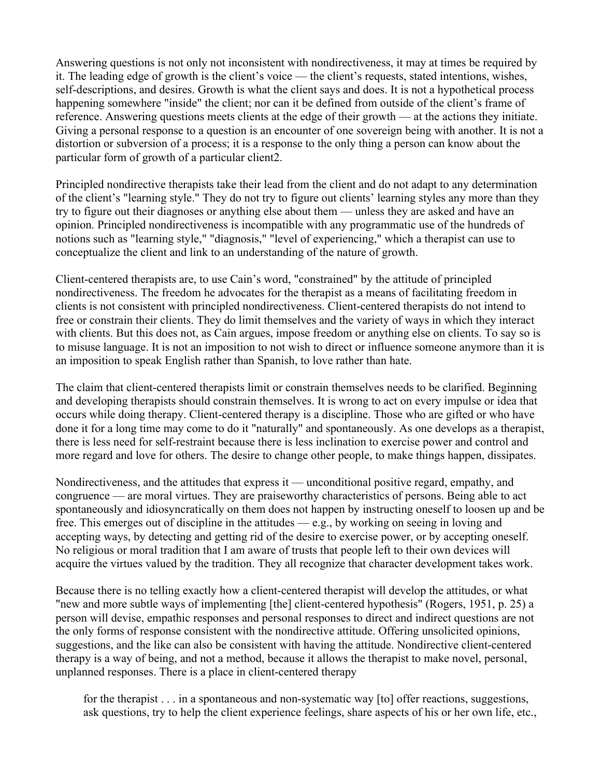Answering questions is not only not inconsistent with nondirectiveness, it may at times be required by it. The leading edge of growth is the client's voice — the client's requests, stated intentions, wishes, self-descriptions, and desires. Growth is what the client says and does. It is not a hypothetical process happening somewhere "inside" the client; nor can it be defined from outside of the client's frame of reference. Answering questions meets clients at the edge of their growth — at the actions they initiate. Giving a personal response to a question is an encounter of one sovereign being with another. It is not a distortion or subversion of a process; it is a response to the only thing a person can know about the particular form of growth of a particular client2.

Principled nondirective therapists take their lead from the client and do not adapt to any determination of the client's "learning style." They do not try to figure out clients' learning styles any more than they try to figure out their diagnoses or anything else about them — unless they are asked and have an opinion. Principled nondirectiveness is incompatible with any programmatic use of the hundreds of notions such as "learning style," "diagnosis," "level of experiencing," which a therapist can use to conceptualize the client and link to an understanding of the nature of growth.

Client-centered therapists are, to use Cain's word, "constrained" by the attitude of principled nondirectiveness. The freedom he advocates for the therapist as a means of facilitating freedom in clients is not consistent with principled nondirectiveness. Client-centered therapists do not intend to free or constrain their clients. They do limit themselves and the variety of ways in which they interact with clients. But this does not, as Cain argues, impose freedom or anything else on clients. To say so is to misuse language. It is not an imposition to not wish to direct or influence someone anymore than it is an imposition to speak English rather than Spanish, to love rather than hate.

The claim that client-centered therapists limit or constrain themselves needs to be clarified. Beginning and developing therapists should constrain themselves. It is wrong to act on every impulse or idea that occurs while doing therapy. Client-centered therapy is a discipline. Those who are gifted or who have done it for a long time may come to do it "naturally" and spontaneously. As one develops as a therapist, there is less need for self-restraint because there is less inclination to exercise power and control and more regard and love for others. The desire to change other people, to make things happen, dissipates.

Nondirectiveness, and the attitudes that express it — unconditional positive regard, empathy, and congruence — are moral virtues. They are praiseworthy characteristics of persons. Being able to act spontaneously and idiosyncratically on them does not happen by instructing oneself to loosen up and be free. This emerges out of discipline in the attitudes — e.g., by working on seeing in loving and accepting ways, by detecting and getting rid of the desire to exercise power, or by accepting oneself. No religious or moral tradition that I am aware of trusts that people left to their own devices will acquire the virtues valued by the tradition. They all recognize that character development takes work.

Because there is no telling exactly how a client-centered therapist will develop the attitudes, or what "new and more subtle ways of implementing [the] client-centered hypothesis" (Rogers, 1951, p. 25) a person will devise, empathic responses and personal responses to direct and indirect questions are not the only forms of response consistent with the nondirective attitude. Offering unsolicited opinions, suggestions, and the like can also be consistent with having the attitude. Nondirective client-centered therapy is a way of being, and not a method, because it allows the therapist to make novel, personal, unplanned responses. There is a place in client-centered therapy

for the therapist . . . in a spontaneous and non-systematic way [to] offer reactions, suggestions, ask questions, try to help the client experience feelings, share aspects of his or her own life, etc.,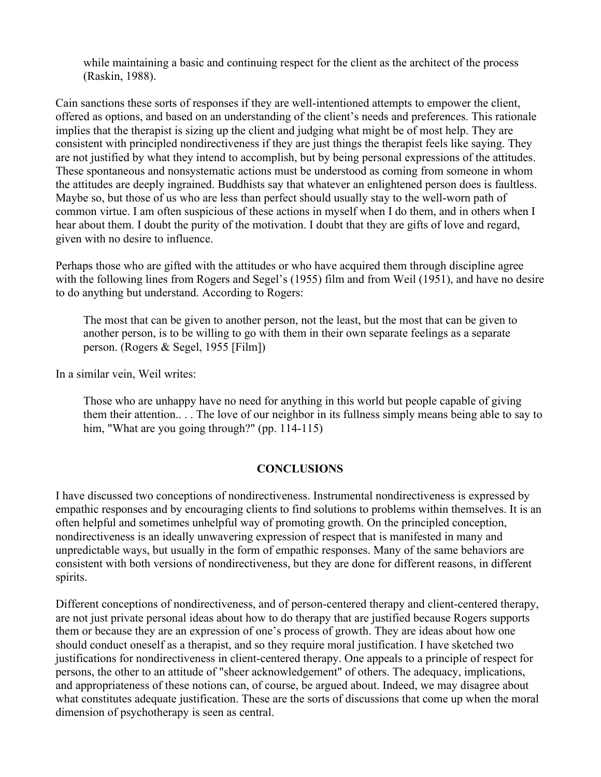while maintaining a basic and continuing respect for the client as the architect of the process (Raskin, 1988).

Cain sanctions these sorts of responses if they are well-intentioned attempts to empower the client, offered as options, and based on an understanding of the client's needs and preferences. This rationale implies that the therapist is sizing up the client and judging what might be of most help. They are consistent with principled nondirectiveness if they are just things the therapist feels like saying. They are not justified by what they intend to accomplish, but by being personal expressions of the attitudes. These spontaneous and nonsystematic actions must be understood as coming from someone in whom the attitudes are deeply ingrained. Buddhists say that whatever an enlightened person does is faultless. Maybe so, but those of us who are less than perfect should usually stay to the well-worn path of common virtue. I am often suspicious of these actions in myself when I do them, and in others when I hear about them. I doubt the purity of the motivation. I doubt that they are gifts of love and regard, given with no desire to influence.

Perhaps those who are gifted with the attitudes or who have acquired them through discipline agree with the following lines from Rogers and Segel's (1955) film and from Weil (1951), and have no desire to do anything but understand. According to Rogers:

The most that can be given to another person, not the least, but the most that can be given to another person, is to be willing to go with them in their own separate feelings as a separate person. (Rogers & Segel, 1955 [Film])

In a similar vein, Weil writes:

Those who are unhappy have no need for anything in this world but people capable of giving them their attention.. . . The love of our neighbor in its fullness simply means being able to say to him, "What are you going through?" (pp. 114-115)

### **CONCLUSIONS**

I have discussed two conceptions of nondirectiveness. Instrumental nondirectiveness is expressed by empathic responses and by encouraging clients to find solutions to problems within themselves. It is an often helpful and sometimes unhelpful way of promoting growth. On the principled conception, nondirectiveness is an ideally unwavering expression of respect that is manifested in many and unpredictable ways, but usually in the form of empathic responses. Many of the same behaviors are consistent with both versions of nondirectiveness, but they are done for different reasons, in different spirits.

Different conceptions of nondirectiveness, and of person-centered therapy and client-centered therapy, are not just private personal ideas about how to do therapy that are justified because Rogers supports them or because they are an expression of one's process of growth. They are ideas about how one should conduct oneself as a therapist, and so they require moral justification. I have sketched two justifications for nondirectiveness in client-centered therapy. One appeals to a principle of respect for persons, the other to an attitude of "sheer acknowledgement" of others. The adequacy, implications, and appropriateness of these notions can, of course, be argued about. Indeed, we may disagree about what constitutes adequate justification. These are the sorts of discussions that come up when the moral dimension of psychotherapy is seen as central.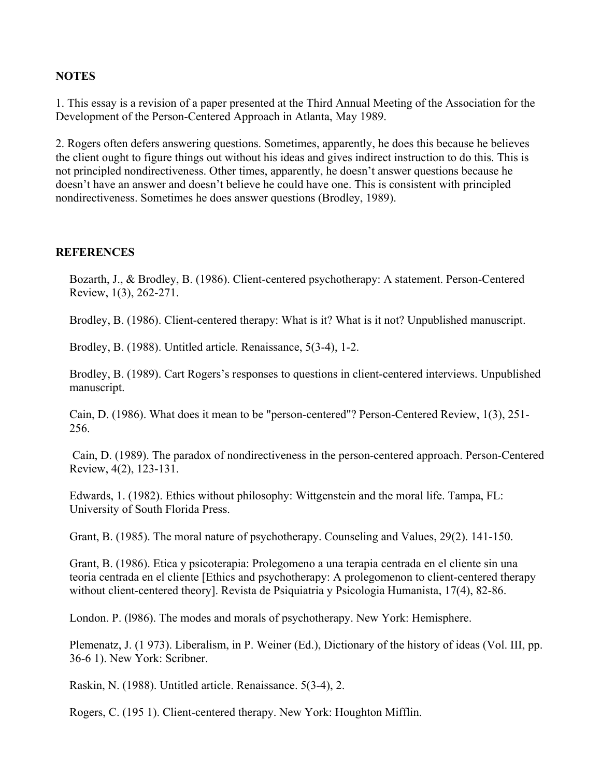### **NOTES**

1. This essay is a revision of a paper presented at the Third Annual Meeting of the Association for the Development of the Person-Centered Approach in Atlanta, May 1989.

2. Rogers often defers answering questions. Sometimes, apparently, he does this because he believes the client ought to figure things out without his ideas and gives indirect instruction to do this. This is not principled nondirectiveness. Other times, apparently, he doesn't answer questions because he doesn't have an answer and doesn't believe he could have one. This is consistent with principled nondirectiveness. Sometimes he does answer questions (Brodley, 1989).

#### **REFERENCES**

Bozarth, J., & Brodley, B. (1986). Client-centered psychotherapy: A statement. Person-Centered Review, 1(3), 262-271.

Brodley, B. (1986). Client-centered therapy: What is it? What is it not? Unpublished manuscript.

Brodley, B. (1988). Untitled article. Renaissance, 5(3-4), 1-2.

Brodley, B. (1989). Cart Rogers's responses to questions in client-centered interviews. Unpublished manuscript.

Cain, D. (1986). What does it mean to be "person-centered"? Person-Centered Review, 1(3), 251- 256.

 Cain, D. (1989). The paradox of nondirectiveness in the person-centered approach. Person-Centered Review, 4(2), 123-131.

Edwards, 1. (1982). Ethics without philosophy: Wittgenstein and the moral life. Tampa, FL: University of South Florida Press.

Grant, B. (1985). The moral nature of psychotherapy. Counseling and Values, 29(2). 141-150.

Grant, B. (1986). Etica y psicoterapia: Prolegomeno a una terapia centrada en el cliente sin una teoria centrada en el cliente [Ethics and psychotherapy: A prolegomenon to client-centered therapy without client-centered theory]. Revista de Psiquiatria y Psicologia Humanista, 17(4), 82-86.

London. P. (l986). The modes and morals of psychotherapy. New York: Hemisphere.

Plemenatz, J. (1 973). Liberalism, in P. Weiner (Ed.), Dictionary of the history of ideas (Vol. III, pp. 36-6 1). New York: Scribner.

Raskin, N. (1988). Untitled article. Renaissance. 5(3-4), 2.

Rogers, C. (195 1). Client-centered therapy. New York: Houghton Mifflin.